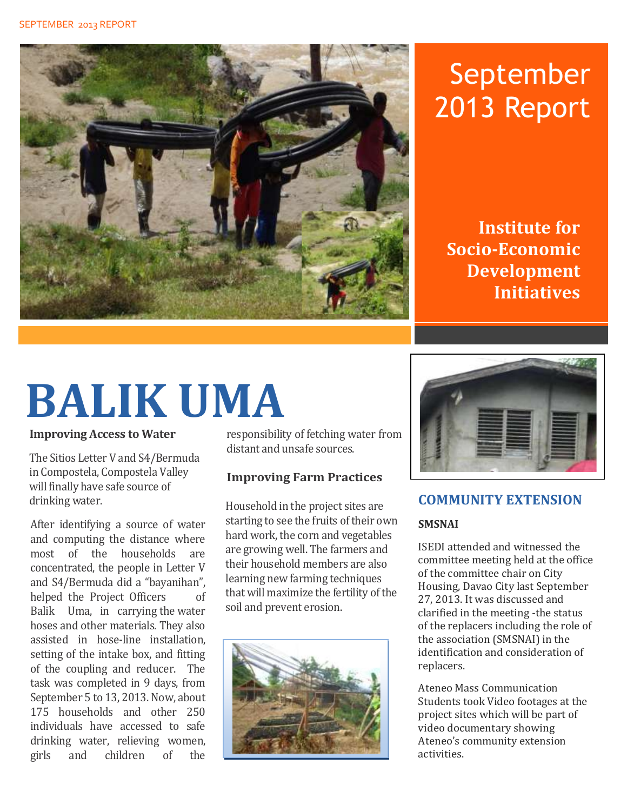

# September 2013 Report

**Institute for Socio-Economic Development Initiatives**

# **BALIK UMA**

**Improving Access to Water**

The Sitios Letter V and S4/Bermuda in Compostela, Compostela Valley will finally have safe source of drinking water.

After identifying a source of water and computing the distance where most of the households are concentrated, the people in Letter V and S4/Bermuda did a "bayanihan", helped the Project Officers of Balik Uma, in carrying the water hoses and other materials. They also assisted in hose-line installation, setting of the intake box, and fitting of the coupling and reducer. The task was completed in 9 days, from September 5 to 13, 2013. Now, about 175 households and other 250 individuals have accessed to safe drinking water, relieving women, girls and children of the

responsibility of fetching water from distant and unsafe sources.

#### **Improving Farm Practices**

Household in the project sites are starting to see the fruits of their own hard work, the corn and vegetables are growing well. The farmers and their household members are also learning new farming techniques that will maximize the fertility of the soil and prevent erosion.





#### **COMMUNITY EXTENSION**

#### **SMSNAI**

ISEDI attended and witnessed the committee meeting held at the office of the committee chair on City Housing, Davao City last September 27, 2013. It was discussed and clarified in the meeting -the status of the replacers including the role of the association (SMSNAI) in the identification and consideration of replacers.

Ateneo Mass Communication Students took Video footages at the project sites which will be part of video documentary showing Ateneo's community extension activities.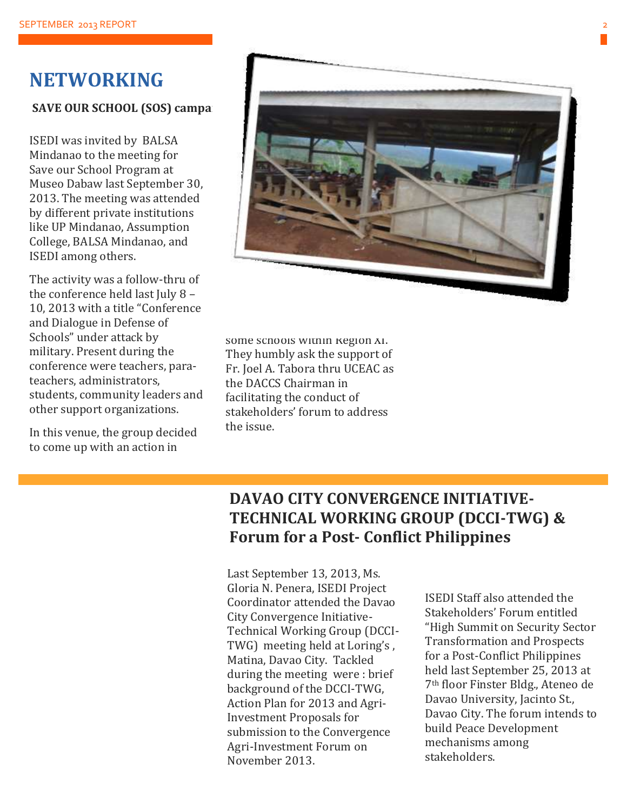#### **NETWORKING**

#### **SAVE OUR SCHOOL (SOS) campaigns**

ISEDI was invited by BALSA Mindanao to the meeting for Save our School Program at Museo Dabaw last September 30, 2013. The meeting was attended by different private institutions like UP Mindanao, Assumption College, BALSA Mindanao, and ISEDI among others.

The activity was a follow-thru of the conference held last July  $8 -$ 10, 2013 with a title "Conference and Dialogue in Defense of Schools" under attack by military. Present during the conference were teachers, parateachers, administrators, students, community leaders and other support organizations.

In this venue, the group decided to come up with an action in



some schools within Region XI. They humbly ask the support of Fr. Joel A. Tabora thru UCEAC as the DACCS Chairman in facilitating the conduct of stakeholders' forum to address the issue.

#### **DAVAO CITY CONVERGENCE INITIATIVE-TECHNICAL WORKING GROUP (DCCI-TWG) & Forum for a Post- Conflict Philippines**

Last September 13, 2013, Ms. Gloria N. Penera, ISEDI Project Coordinator attended the Davao City Convergence Initiative-Technical Working Group (DCCI-TWG) meeting held at Loring's , Matina, Davao City. Tackled during the meeting were : brief background of the DCCI-TWG, Action Plan for 2013 and Agri-Investment Proposals for submission to the Convergence Agri-Investment Forum on November 2013.

ISEDI Staff also attended the Stakeholders' Forum entitled "High Summit on Security Sector Transformation and Prospects for a Post-Conflict Philippines held last September 25, 2013 at 7th floor Finster Bldg., Ateneo de Davao University, Jacinto St., Davao City. The forum intends to build Peace Development mechanisms among stakeholders.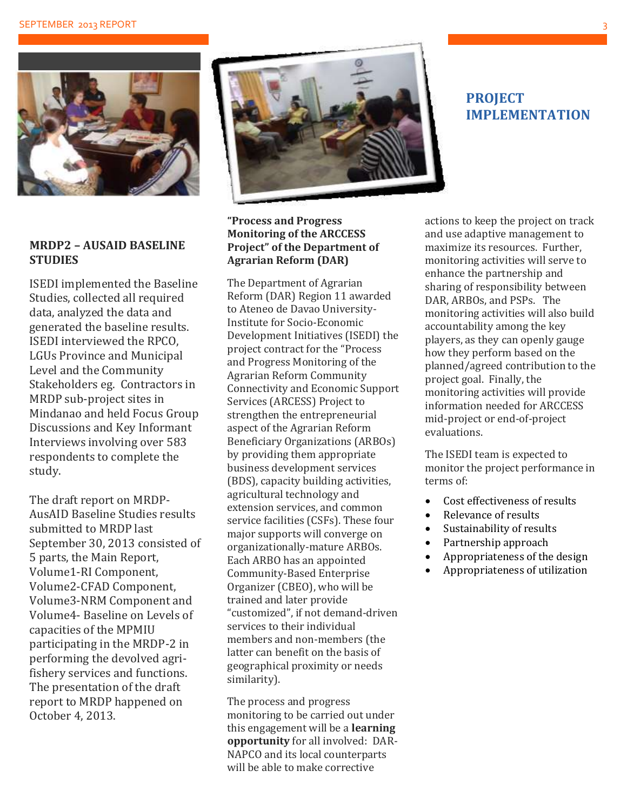

#### **MRDP2 – AUSAID BASELINE STUDIES**

ISEDI implemented the Baseline Studies, collected all required data, analyzed the data and generated the baseline results. ISEDI interviewed the RPCO, LGUs Province and Municipal Level and the Community Stakeholders eg. Contractors in MRDP sub-project sites in Mindanao and held Focus Group Discussions and Key Informant Interviews involving over 583 respondents to complete the study.

The draft report on MRDP-AusAID Baseline Studies results submitted to MRDP last September 30, 2013 consisted of 5 parts, the Main Report, Volume1-RI Component, Volume2-CFAD Component, Volume3-NRM Component and Volume4- Baseline on Levels of capacities of the MPMIU participating in the MRDP-2 in performing the devolved agrifishery services and functions. The presentation of the draft report to MRDP happened on October 4, 2013.



#### **"Process and Progress Monitoring of the ARCCESS Project" of the Department of Agrarian Reform (DAR)**

The Department of Agrarian Reform (DAR) Region 11 awarded to Ateneo de Davao University-Institute for Socio-Economic Development Initiatives (ISEDI) the project contract for the "Process and Progress Monitoring of the Agrarian Reform Community Connectivity and Economic Support Services (ARCESS) Project to strengthen the entrepreneurial aspect of the Agrarian Reform Beneficiary Organizations (ARBOs) by providing them appropriate business development services (BDS), capacity building activities, agricultural technology and extension services, and common service facilities (CSFs). These four major supports will converge on organizationally-mature ARBOs. Each ARBO has an appointed Community-Based Enterprise Organizer (CBEO), who will be trained and later provide "customized", if not demand-driven services to their individual members and non-members (the latter can benefit on the basis of geographical proximity or needs similarity).

The process and progress monitoring to be carried out under this engagement will be a **learning opportunity** for all involved: DAR-NAPCO and its local counterparts will be able to make corrective

#### **PROJECT IMPLEMENTATION**

actions to keep the project on track and use adaptive management to maximize its resources. Further, monitoring activities will serve to enhance the partnership and sharing of responsibility between DAR, ARBOs, and PSPs. The monitoring activities will also build accountability among the key players, as they can openly gauge how they perform based on the planned/agreed contribution to the project goal. Finally, the monitoring activities will provide information needed for ARCCESS mid-project or end-of-project evaluations.

The ISEDI team is expected to monitor the project performance in terms of:

- Cost effectiveness of results
- Relevance of results
- Sustainability of results
- Partnership approach
- Appropriateness of the design
- Appropriateness of utilization